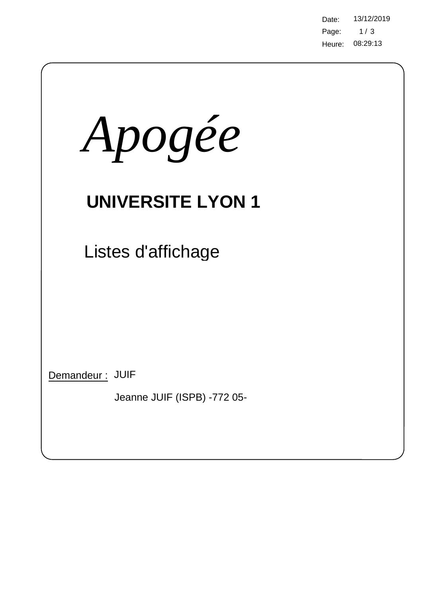Page: 08:29:13 Heure: Date: 13/12/2019  $1/3$ 

| Apogée                                         |  |  |  |  |  |  |  |
|------------------------------------------------|--|--|--|--|--|--|--|
| <b>UNIVERSITE LYON 1</b>                       |  |  |  |  |  |  |  |
| Listes d'affichage                             |  |  |  |  |  |  |  |
|                                                |  |  |  |  |  |  |  |
|                                                |  |  |  |  |  |  |  |
| Demandeur: JUIF<br>Jeanne JUIF (ISPB) -772 05- |  |  |  |  |  |  |  |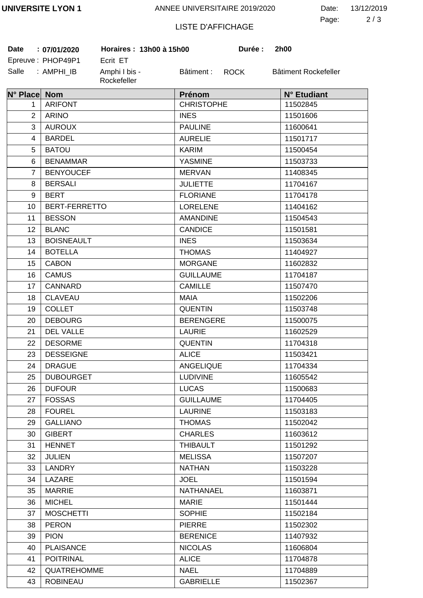ANNEE UNIVERSITAIRE 2019/2020

2 3 Page: Date: 13/12/2019

## LISTE D'AFFICHAGE

| <b>Date</b>    | : 07/01/2020         | Horaires: 13h00 à 15h00 |                                  | Durée : | 2h00                 |
|----------------|----------------------|-------------------------|----------------------------------|---------|----------------------|
|                | Epreuve: PHOP49P1    | Ecrit ET                |                                  |         |                      |
| Salle          | : AMPHI_IB           | Amphi I bis -           | Bâtiment : ROCK                  |         | Bâtiment Rockefeller |
|                |                      | Rockefeller             |                                  |         |                      |
| N° Place Nom   |                      |                         | Prénom                           |         | N° Etudiant          |
| $\mathbf{1}$   | <b>ARIFONT</b>       |                         | <b>CHRISTOPHE</b>                |         | 11502845             |
| $\overline{2}$ | <b>ARINO</b>         |                         | <b>INES</b>                      |         | 11501606             |
| 3              | <b>AUROUX</b>        |                         | <b>PAULINE</b>                   |         | 11600641             |
| $\overline{4}$ | <b>BARDEL</b>        |                         | <b>AURELIE</b>                   |         | 11501717             |
| 5              | <b>BATOU</b>         |                         | <b>KARIM</b>                     |         | 11500454             |
| 6              | <b>BENAMMAR</b>      |                         | <b>YASMINE</b>                   |         | 11503733             |
| $\overline{7}$ | <b>BENYOUCEF</b>     |                         | <b>MERVAN</b>                    |         | 11408345             |
| 8              | <b>BERSALI</b>       |                         | <b>JULIETTE</b>                  |         | 11704167             |
| 9              | <b>BERT</b>          |                         | <b>FLORIANE</b>                  |         | 11704178             |
| 10             | <b>BERT-FERRETTO</b> |                         | <b>LORELENE</b>                  |         | 11404162             |
| 11             | <b>BESSON</b>        |                         | <b>AMANDINE</b>                  |         | 11504543             |
| 12             | <b>BLANC</b>         |                         | <b>CANDICE</b>                   |         | 11501581             |
| 13             | <b>BOISNEAULT</b>    |                         | <b>INES</b>                      |         | 11503634             |
| 14             | <b>BOTELLA</b>       |                         | <b>THOMAS</b>                    |         | 11404927             |
| 15             | <b>CABON</b>         |                         | <b>MORGANE</b>                   |         | 11602832             |
| 16             | <b>CAMUS</b>         |                         | <b>GUILLAUME</b>                 |         | 11704187             |
| 17             | CANNARD              |                         | <b>CAMILLE</b>                   |         | 11507470             |
| 18             | <b>CLAVEAU</b>       |                         | <b>MAIA</b>                      |         | 11502206             |
| 19             | <b>COLLET</b>        |                         | <b>QUENTIN</b>                   |         | 11503748             |
| 20             | <b>DEBOURG</b>       |                         | <b>BERENGERE</b>                 |         | 11500075             |
| 21             | <b>DEL VALLE</b>     |                         | <b>LAURIE</b>                    |         | 11602529             |
| 22             | <b>DESORME</b>       |                         | <b>QUENTIN</b>                   |         | 11704318             |
| 23             | <b>DESSEIGNE</b>     |                         | <b>ALICE</b>                     |         | 11503421             |
| 24             | <b>DRAGUE</b>        |                         | <b>ANGELIQUE</b>                 |         | 11704334             |
| 25             | <b>DUBOURGET</b>     |                         | <b>LUDIVINE</b>                  |         | 11605542             |
| 26             | <b>DUFOUR</b>        |                         | <b>LUCAS</b>                     |         | 11500683             |
| 27             | <b>FOSSAS</b>        |                         | <b>GUILLAUME</b>                 |         | 11704405             |
| 28             | <b>FOUREL</b>        |                         | <b>LAURINE</b>                   |         | 11503183             |
| 29             | <b>GALLIANO</b>      |                         | <b>THOMAS</b>                    |         | 11502042             |
| 30             | <b>GIBERT</b>        |                         | <b>CHARLES</b>                   |         | 11603612             |
| 31             | <b>HENNET</b>        |                         | <b>THIBAULT</b>                  |         | 11501292             |
| 32             | <b>JULIEN</b>        |                         | <b>MELISSA</b>                   |         | 11507207             |
| 33             | LANDRY               |                         | <b>NATHAN</b>                    |         | 11503228             |
| 34             | LAZARE               |                         | <b>JOEL</b>                      |         | 11501594             |
| 35             | <b>MARRIE</b>        |                         | <b>NATHANAEL</b>                 |         | 11603871             |
| 36             | <b>MICHEL</b>        |                         | <b>MARIE</b>                     |         | 11501444             |
| 37             | <b>MOSCHETTI</b>     |                         | <b>SOPHIE</b>                    |         | 11502184             |
|                | <b>PERON</b>         |                         |                                  |         |                      |
| 38             | <b>PION</b>          |                         | <b>PIERRE</b><br><b>BERENICE</b> |         | 11502302             |
| 39             |                      |                         |                                  |         | 11407932             |
| 40             | <b>PLAISANCE</b>     |                         | <b>NICOLAS</b>                   |         | 11606804             |
| 41             | <b>POITRINAL</b>     |                         | <b>ALICE</b>                     |         | 11704878             |
| 42             | QUATREHOMME          |                         | <b>NAEL</b>                      |         | 11704889             |
| 43             | <b>ROBINEAU</b>      |                         | <b>GABRIELLE</b>                 |         | 11502367             |